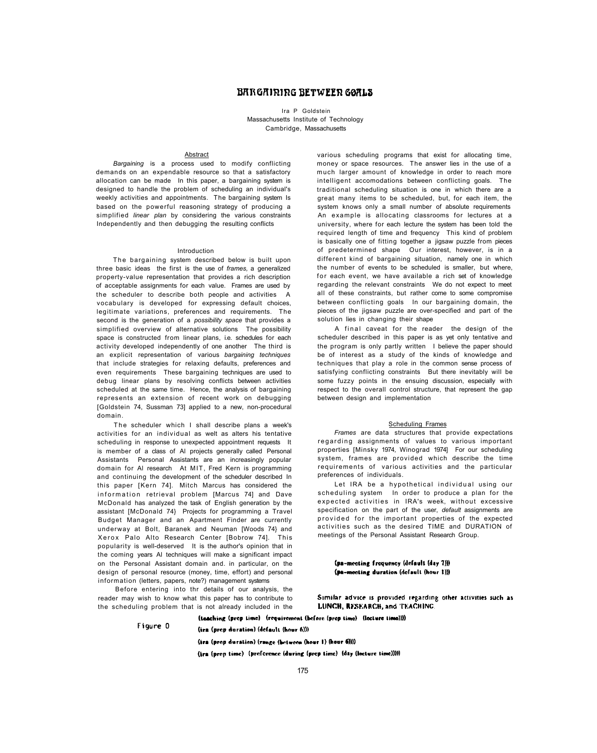# BARGAIRIRG BETWEER GOALS

Ira P Goldstein Massachusetts Institute of Technology Cambridge, Massachusetts

#### Abstract

*Bargaining* is a process used to modify conflicting demands on an expendable resource so that a satisfactory allocation can be made In this paper, a bargaining system is designed to handle the problem of scheduling an individual's weekly activities and appointments. The bargaining system Is based on the powerful reasoning strategy of producing a simplified *linear plan* by considering the various constraints Independently and then debugging the resulting conflicts

#### Introduction

The bargaining system described below is built upon three basic ideas the first is the use of *frames,* a generalized property-value representation that provides a rich description of acceptable assignments for each value. Frames are used by the scheduler to describe both people and activities A vocabulary is developed for expressing default choices, legitimate variations, preferences and requirements. The second is the generation of a *possibility space* that provides a simplified overview of alternative solutions The possibility space is constructed from linear plans, i.e. schedules for each activity developed independently of one another The third is an explicit representation of various *bargaining techniques*  that include strategies for relaxing defaults, preferences and even requirements These bargaining techniques are used to debug linear plans by resolving conflicts between activities scheduled at the same time. Hence, the analysis of bargaining represents an extension of recent work on debugging [Goldstein 74, Sussman 73] applied to a new, non-procedural domain.

The scheduler which I shall describe plans a week's activities for an individual as welt as alters his tentative scheduling in response to unexpected appointment requests It is member of a class of Al projects generally called Personal Assistants Personal Assistants are an increasingly popular domain for Al research At MIT, Fred Kern is programming and continuing the development of the scheduler described In this paper [Kern 74]. Mitch Marcus has considered the information retrieval problem [Marcus 74] and Dave McDonald has analyzed the task of English generation by the assistant [McDonald 74} Projects for programming a Travel Budget Manager and an Apartment Finder are currently underway at Bolt, Baranek and Neuman [Woods 74} and Xerox Palo Alto Research Center [Bobrow 74]. This popularity is well-deserved It is the author's opinion that in the coming years Al techniques will make a significant impact on the Personal Assistant domain and. in particular, on the design of personal resource (money, time, effort) and personal information (letters, papers, note?) management systems

A final caveat for the reader the design of the scheduler described in this paper is as yet only tentative and the program is only partly written I believe the paper should be of interest as a study of the kinds of knowledge and techniques that play a role in the common sense process of satisfying conflicting constraints But there inevitably will be some fuzzy points in the ensuing discussion, especially with respect to the overall control structure, that represent the gap between design and implementation

Let IRA be a hypothetical individual using our scheduling system In order to produce a plan for the expected activities in IRA's week, without excessive specification on the part of the user, *default* assignments are provided for the important properties of the expected activities such as the desired TIME and DURATION of meetings of the Personal Assistant Research Group.

Before entering into thr details of our analysis, the reader may wish to know what this paper has to contribute to the scheduling problem that is not already included in the

(pa-meeting frequency (default (day 7))) (pa-meeting duration (default (hour 1)))

Similar advice is provided regarding other activities such as LUNCH, RESEARCH, and TEACHING.

(toaching (prep time) (requirement (before (prep time) (locture time))))

Figure 0

(ira (prep duration) (default (hour 6)))

 $($ ira (prep duration) (range (between (hour  $1$ ) (hour  $6$ ))))

(ira (prep time) (preference (during (prep time) (day (lecture time)))))

various scheduling programs that exist for allocating time, money or space resources. The answer lies in the use of a much larger amount of knowledge in order to reach more intelligent accomodations between conflicting goals. The traditional scheduling situation is one in which there are a great many items to be scheduled, but, for each item, the system knows only a small number of absolute requirements An example is allocating classrooms for lectures at a university, where for each lecture the system has been told the required length of time and frequency This kind of problem is basically one of fitting together a jigsaw puzzle from pieces of predetermined shape Our interest, however, is in a different kind of bargaining situation, namely one in which the number of events to be scheduled is smaller, but where, for each event, we have available a rich set of knowledge regarding the relevant constraints We do not expect to meet all of these constraints, but rather come to some compromise between conflicting goals In our bargaining domain, the pieces of the jigsaw puzzle are over-specified and part of the solution lies in changing their shape

# Scheduling Frames

*Frames* are data structures that provide expectations regarding assignments of values to various important properties [Minsky 1974, Winograd 1974] For our scheduling system, frames are provided which describe the time requirements of various activities and the particular preferences of individuals.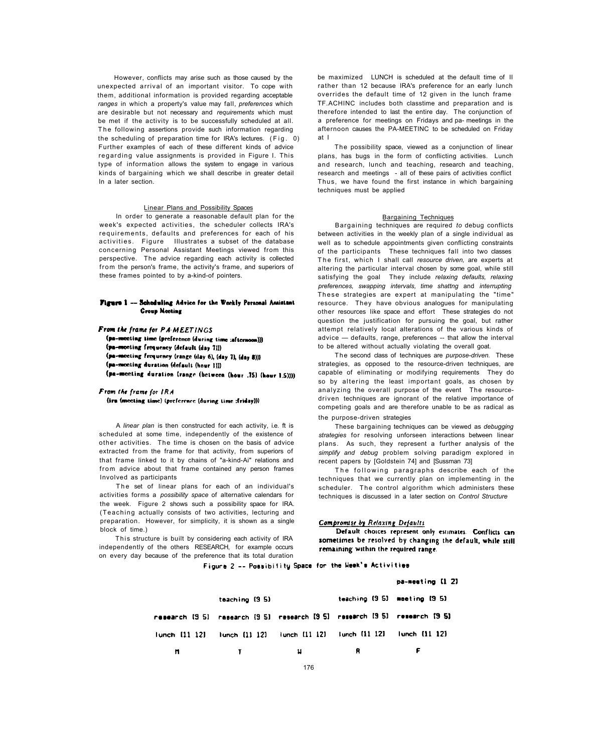However, conflicts may arise such as those caused by the unexpected arrival of an important visitor. To cope with them, additional information is provided regarding acceptable *ranges* in which a property's value may fall, *preferences* which are desirable but not necessary and *requirements* which must be met if the activity is to be successfully scheduled at all. The following assertions provide such information regarding the scheduling of preparation time for IRA's lectures. (Fig. 0) Further examples of each of these different kinds of advice regarding value assignments is provided in Figure I. This type of information allows the system to engage in various kinds of bargaining which we shall describe in greater detail In a later section.

The set of linear plans for each of an individual's activities forms a *possibility space* of alternative calendars for the week. Figure 2 shows such a possibility space for IRA. (Teaching actually consists of two activities, lecturing and preparation. However, for simplicity, it is shown as a single

This structure is built by considering each activity of IRA independently of the others RESEARCH, for example occurs on every day because of the preference that its total duration

Default choices represent only estimates. Conflicts can sometimes be resolved by changing the default, while still remaining within the required range.

Figure 2 -- Possibility Space for the Heek's Activities

pa-meeting [1 2]

A *linear plan* is then constructed for each activity, i.e. ft is scheduled at some time, independently of the existence of other activities. The time is chosen on the basis of advice extracted from the frame for that activity, from superiors of that frame linked to it by chains of "a-kind-Ai" relations and from advice about that frame contained any person frames Involved as participants

block of time.)

be maximized LUNCH is scheduled at the default time of II rather than 12 because IRA's preference for an early lunch overrides the default time of 12 given in the lunch frame TF.ACHINC includes both classtime and preparation and is therefore intended to last the entire day. The conjunction of a preference for meetings on Fridays and pa- meetings in the afternoon causes the PA-MEETINC to be scheduled on Friday at I

The following paragraphs describe each of the techniques that we currently plan on implementing in the scheduler. The control algorithm which administers these techniques is discussed in a later section on *Control Structure* 

# Compromise by Relaxing Defaults

The possibility space, viewed as a conjunction of linear plans, has bugs in the form of conflicting activities. Lunch and research, lunch and teaching, research and teaching, research and meetings - all of these pairs of activities conflict Thus, we have found the first instance in which bargaining techniques must be applied

#### Bargaining Techniques

Bargaining techniques are required *to* debug conflicts between activities in the weekly plan of a single individual as well as to schedule appointments given conflicting constraints of the participants These techniques fall into two classes The first, which I shall call *resource driven*, are experts at altering the particular interval chosen by some goal, while still satisfying the goal They include *relaxing defaults, relaxing preferences, swapping intervals, time shattng* and *interrupting*  These strategies are expert at manipulating the "time" resource. They have obvious analogues for manipulating other resources like space and effort These strategies do not question the justification for pursuing the goal, but rather attempt relatively local alterations of the various kinds of advice — defaults, range, preferences -- that allow the interval to be altered without actually violating the overall goat.

The second class of techniques are *purpose-driven.* These strategies, as opposed to the resource-driven techniques, are capable of eliminating or modifying requirements They do so by altering the least important goals, as chosen by analyzing the overall purpose of the event The resourcedriven techniques are ignorant of the relative importance of competing goals and are therefore unable to be as radical as the purpose-driven strategies

These bargaining techniques can be viewed as *debugging strategies* for resolving unforseen interactions between linear plans. As such, they represent a further analysis of the *simplify and debug* problem solving paradigm explored in recent papers by [Goldstein 74] and [Sussman 73]

|                      | teaching (9.5)                                                             |       |    | teaching (9.5) meeting (9.5) |  |
|----------------------|----------------------------------------------------------------------------|-------|----|------------------------------|--|
|                      | research [9.5] research [9.5] research [9.5] research [9.5] research [9.5] |       |    |                              |  |
| $I$ unch $[11 \ 12]$ | Funch (11-12) Funch (11-12) Funch (11-12) Funch (11-12)                    |       |    |                              |  |
| m.                   | $\mathbf{T}$                                                               | $\mu$ | R. |                              |  |
|                      |                                                                            | 176   |    |                              |  |

# Linear Plans and Possibility Spaces

In order to generate a reasonable default plan for the week's expected activities, the scheduler collects IRA's requirements, defaults and preferences for each of his activities. Figure Illustrates a subset of the database concerning Personal Assistant Meetings viewed from this perspective. The advice regarding each activity is collected from the person's frame, the activity's frame, and superiors of these frames pointed to by a-kind-of pointers.

# Figure 1 -- Schoduling Advice for the Workly Personal Assistant **Group Meeting**

From the frame for PA-MEETINGS

(pa-monting time (preference (during time :afternoon))) (pa-mooting frequency (default (day 7))) (pa-meeting frequency (range (day 6), (day 7), (day 8))) (pa-monting duration (default (hour I))) (pa-meeting duration (range (between (hour .75) (hour 1.5))))

From the frame for IRA (iru (meeting time) (preference (during time :(riday)))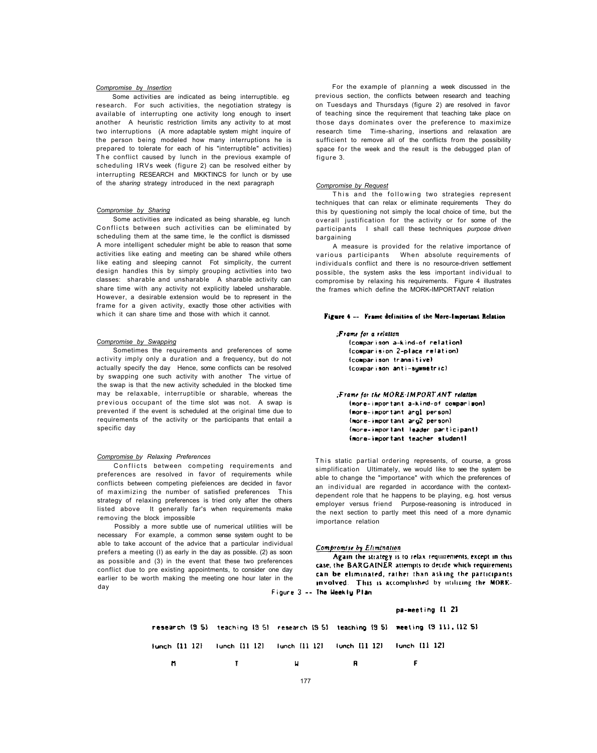### *Compromise b*y *Insertion*

Some activities are indicated as being sharable, eg lunch Conflicts between such activities can be eliminated by scheduling them at the same time, le the conflict is dismissed A more intelligent scheduler might be able to reason that some activities like eating and meeting can be shared while others like eating and sleeping cannot Fot simplicity, the current design handles this by simply grouping activities into two classes: sharable and unsharable A sharable activity can share time with any activity not explicitly labeled unsharable. However, a desirable extension would be to represent in the frame for a given activity, exactly those other activities with which it can share time and those with which it cannot.

Some activities are indicated as being interruptible. eg research. For such activities, the negotiation strategy is available of interrupting one activity long enough to insert another A heuristic restriction limits any activity to at most two interruptions (A more adaptable system might inquire of the person being modeled how many interruptions he is prepared to tolerate for each of his "interruptible" activities) The conflict caused by lunch in the previous example of scheduling IRVs week (figure 2) can be resolved either by interrupting RESEARCH and MKKTINCS for lunch or by use of the *sharing* strategy introduced in the next paragraph

# *Compromise by Sharing*

This and the following two strategies represent techniques that can relax or eliminate requirements They do this by questioning not simply the local choice of time, but the overall justification for the activity or for some of the participants I shall call these techniques *purpose driven*  bargaining

For the example of planning a week discussed in the previous section, the conflicts between research and teaching on Tuesdays and Thursdays (figure 2) are resolved in favor of teaching since the requirement that teaching take place on those days dominates over the preference to maximize research time Time-sharing, insertions and relaxation are sufficient to remove all of the conflicts from the possibility space for the week and the result is the debugged plan of figure 3.

Conflicts between competing requirements and preferences are resolved in favor of requirements while conflicts between competing piefeiences are decided in favor of maximizing the number of satisfied preferences This strategy of relaxing preferences is tried only after the others listed above It generally far's when requirements make removing the block impossible

#### *Compromise by Request*

This static partial ordering represents, of course, a gross simplification Ultimately, we would like to see the system be able to change the "importance" with which the preferences of an individual are regarded in accordance with the contextdependent role that he happens to be playing, e.g. host versus employer versus friend Purpose-reasoning is introduced in the next section to partly meet this need of a more dynamic importance relation

A measure is provided for the relative importance of various participants When absolute requirements of individuals conflict and there is no resource-driven settlement possible, the system asks the less important individual to compromise by relaxing his requirements. Figure 4 illustrates the frames which define the MORK-IMPORTANT relation

#### Figure 4 -- Frame definition of the More-Important Relation

:Frame for a relation (comparison a-kind-of relation) (comparision 2-place relation) (comparison transitive) (comparison anti-symmetric)

Frame for the MORE-IMPORT ANT relation. Imore-important a-kind-of comparison) (more-important angl person) (more-important arg2 person) (more-important leader participant) (more-important teacher student)

# *Compromise by Swapping*

Sometimes the requirements and preferences of some activity imply only a duration and a frequency, but do not actually specify the day Hence, some conflicts can be resolved by swapping one such activity with another The virtue of the swap is that the new activity scheduled in the blocked time may be relaxable, interruptible or sharable, whereas the previous occupant of the time slot was not. A swap is prevented if the event is scheduled at the original time due to requirements of the activity or the participants that entail a specific day

# *Compromise by Relaxing Preferences*

Possibly a more subtle use of numerical utilities will be

necessary For example, a common sense system ought to be able to take account of the advice that a particular individual prefers a meeting (I) as early in the day as possible. (2) as soon as possible and (3) in the event that these two preferences conflict due to pre existing appointments, to consider one day earlier to be worth making the meeting one hour later in the day

Compromise by Elimination

Again the strategy is to relax requirements, except in this case, the BARGAINER attempts to decide which requirements can be eliminated, rather than asking the participants involved. This is accomplished by utilizing the MORE-

Figure 3 -- The Weekly Plan

pa-meeting [1 2]

research (9.5) teaching (9.5) research (9.5) teaching (9.5) meeting (9.11), (12.5) Tunch [11-12] **Junch (11-12)** Tunch [11 12]  $Iunch$   $[11 12]$ Junch [11 12] n  $\mathbf{r}$ H R F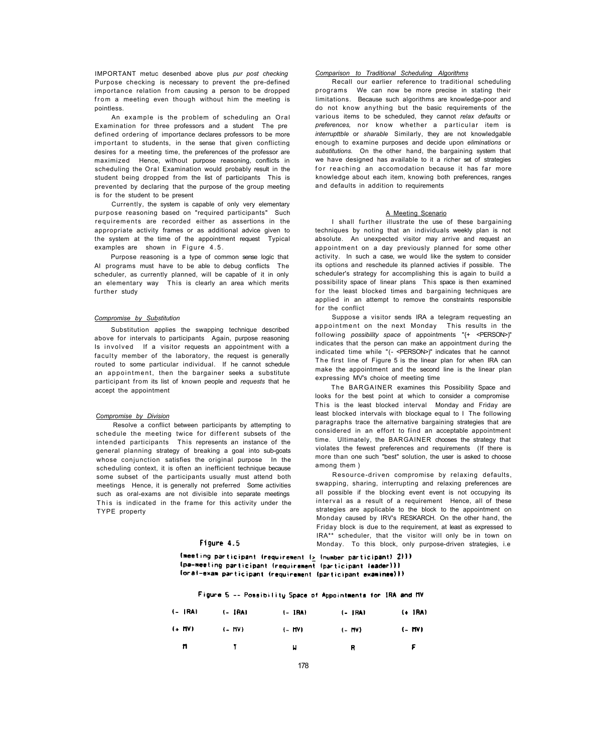IMPORTANT metuc desenbed above plus *pur post checking*  Purpose checking is necessary to prevent the pre-defined importance relation from causing a person to be dropped from a meeting even though without him the meeting is pointless.

Currently, the system is capable of only very elementary purpose reasoning based on "required participants" Such requirements are recorded either as assertions in the appropriate activity frames or as additional advice given to the system at the time of the appointment request Typical examples are shown in Figure 4.5.

An example is the problem of scheduling an Oral Examination for three professors and a student The pre defined ordering of importance declares professors to be more important to students, in the sense that given conflicting desires for a meeting time, the preferences of the professor are maximized Hence, without purpose reasoning, conflicts in scheduling the Oral Examination would probably result in the student being dropped from the list of participants This is prevented by declaring that the purpose of the group meeting is for the student to be present

Purpose reasoning is a type of common sense logic that AI programs must have to be able to debug conflicts The scheduler, as currently planned, will be capable of it in only an elementary way This is clearly an area which merits further study

# *Compromise by Substitution*

Substitution applies the swapping technique described above for intervals to participants Again, purpose reasoning Is involved If a visitor requests an appointment with a faculty member of the laboratory, the request is generally routed to some particular individual. If he cannot schedule an appointment, then the bargainer seeks a substitute participant from its list of known people and *requests* that he accept the appointment

# *Compromise by Division*

Resolve a conflict between participants by attempting to schedule the meeting twice for different subsets of the intended participants This represents an instance of the general planning strategy of breaking a goal into sub-goats whose conjunction satisfies the original purpose In the scheduling context, it is often an inefficient technique because some subset of the participants usually must attend both meetings Hence, it is generally not preferred Some activities such as oral-exams are not divisible into separate meetings This is indicated in the frame for this activity under the TYPE property

# *Comparison to Traditional Scheduling Algorithms*

Recall our earlier reference to traditional scheduling programs We can now be more precise in stating their limitations. Because such algorithms are knowledge-poor and do not know anything but the basic requirements of the various items to be scheduled, they cannot *relax defaults* or *preferences,* nor know whether a particular item is *interrupttble* or *sharable* Similarly, they are not knowledgable enough to examine purposes and decide upon *eliminations* or *substitutions.* On the other hand, the bargaining system that we have designed has available to it a richer set of strategies for reaching an accomodation because it has far more knowledge about each item, knowing both preferences, ranges and defaults in addition to requirements

# A Meeting Scenario

I shall further illustrate the use of these bargaining techniques by noting that an individuals weekly plan is not absolute. An unexpected visitor may arrive and request an appointment on a day previously planned for some other activity. In such a case, we would like the system to consider its options and reschedule its planned activies if possible. The scheduler's strategy for accomplishing this is again to build a possibility space of linear plans This space is then examined for the least blocked times and bargaining techniques are applied in an attempt to remove the constraints responsible for the conflict

Suppose a visitor sends IRA a telegram requesting an appointment on the next Monday This results in the following *possibility space* of appointments "{+ <PERSON>)" indicates that the person can make an appointment during the indicated time while "(- <PERSON>)" indicates that he cannot The first line of Figure 5 is the linear plan for when IRA can make the appointment and the second line is the linear plan expressing MV's choice of meeting time

The BARGAINER examines this Possibility Space and looks for the best point at which to consider a compromise This is the least blocked interval Monday and Friday are least blocked intervals with blockage equal to I The following paragraphs trace the alternative bargaining strategies that are considered in an effort to find an acceptable appointment time. Ultimately, the BARGAINER chooses the strategy that violates the fewest preferences and requirements (If there is more than one such "best" solution, the user is asked to choose among them )

Resource-driven compromise by relaxing defaults, swapping, sharing, interrupting and relaxing preferences are all possible if the blocking event event is not occupying its interval as a result of a requirement Hence, all of these strategies are applicable to the block to the appointment on Monday caused by IRV's RESKARCH. On the other hand, the

Friday block is due to the requirement, at least as expressed to IRA\*\* scheduler, that the visitor will only be in town on Figure 4.5 Monday. To this block, only purpose-driven strategies, i.e

(meeting participant (requirement  $I_2$  (number participant) 2))) (pa-meeting participant (requirement (participant leader))) (oral-exam participant (requirement (participant examinee)))

# Figure 5 -- Possibility Space of Appointments for IRA and MV

| $(- RA)$ | $(-$ IRA) | $(-$ IRA) | $(-$ JRA) | $(+ 1RA)$ |
|----------|-----------|-----------|-----------|-----------|
| $(+ 11)$ | $(-1)$    | $(-HV)$   | $(-11)$   | (– MV)    |
| n        |           | ы         | R         | F.        |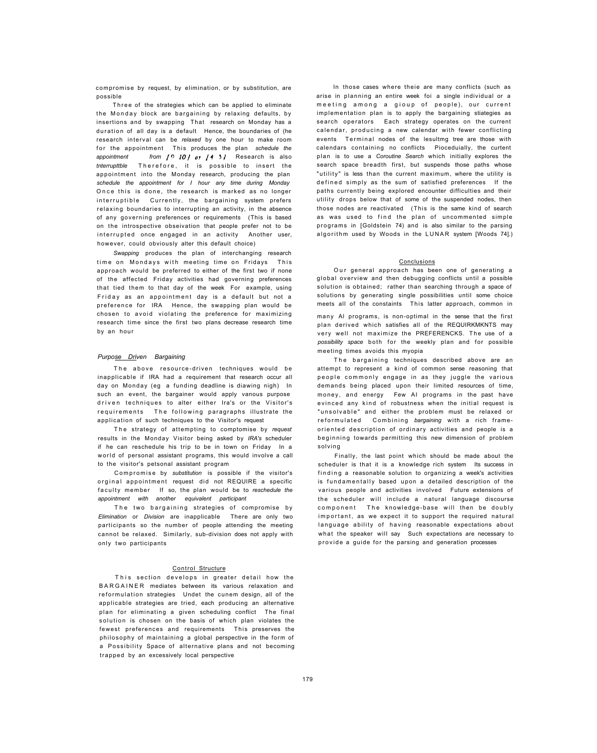compromise by request, by elimination, or by substitution, are possible

Three of the strategies which can be applied to eliminate the Monday block are bargaining by relaxing defaults, by insertions and by swapping That research on Monday has a duration of all day is a default Hence, the boundaries of (he research interval can be *relaxed* by one hour to make room for the appointment This produces the plan schedule the *appointment* from  $\int$  0 *IO j* or  $\int$  4 5 *j* Research is also *tnterrupttble* Therefore, it is possible to insert the appointment into the Monday research, producing the plan *schedule the appointment for I hour any time during Monday*  Once this is done, the research is marked as no longer interruptible Currently, the bargaining system prefers relaxing boundaries to interrupting an activity, in the absence of any governing preferences or requirements (This is based on the introspective obseivation that people prefer not to be interrupted once engaged in an activity Another user, however, could obviously alter this default choice)

The above resource-driven techniques would be inapplicable if IRA had a requirement that research occur all day on Monday (eg a funding deadline is diawing nigh) In such an event, the bargainer would apply vanous purpose driven techniques to alter either Ira's or the Visitor's requirements The following paragraphs illustrate the application of such techniques to the Visitor's request

The strategy of attempting to comptomise by request results in the Monday Visitor being asked by *IRA's* scheduler if he can reschedule his trip to be in town on Friday In a world of personal assistant programs, this would involve a call to the visitor's petsonal assistant program

Compromise by *substitution* is possible if the visitor's orginal appointment request did not REQUlRE a specific faculty member If so, the plan would be to reschedule the *appointment with another equivalent participant* 

*Swapping* produces the plan of interchanging research time on Mondays with meeting time on Fridays This approach would be preferred to either of the first two if none of the affected Friday activities had governing preferences that tied them to that day of the week For example, using Friday as an appointment day is a default but not a preference for IRA Hence, the swapping plan would be chosen to avoid violating the preference for maximizing research time since the first two plans decrease research time by an hour

The two bargaining strategies of compromise by *Elimination* or *Division* are inapplicable There are only two participants so the number of people attending the meeting cannot be relaxed. Similarly, sub-division does not apply with only two participants

# *Purpose Driven Bargaining*

This section develops in greater detail how the BARGAINE R mediates between its various relaxation and reformulation strategies Undet the cunem design, all of the applicable strategies are tried, each producing an alternative plan for eliminating a given scheduling conflict The final solution is chosen on the basis of which plan violates the fewest preferences and requirements This preserves the philosophy of maintaining a global perspective in the form of a Possibility Space of alternative plans and not becoming trapped by an excessively local perspective

In those cases where theie are many conflicts (such as arise in planning an entire week foi a single individual or a meeting among a gioup of people), our current implementation plan is to apply the bargaining stiategies as search operators Each strategy operates on the current calendar, producing a new calendar with fewer conflicting events Terminal nodes of the lesultmg tree are those with calendars containing no conflicts Pioceduially, the curtent plan is to use a *Coroutine Search* which initially explores the search space breadth first, but suspends those paths whose "utility" is less than the current maximum, where the utility is defined simply as the sum of satisfied preferences If the paths currently being explored encounter difficulties and their utility drops below that of some of the suspended nodes, then those nodes are reactivated (This is the same kind of search as was used to find the plan of uncommented simple programs in [Goldstein 74) and is also similar to the parsing algorithm used by Woods in the LUNAR system [Woods 74].)

#### Control Structure

The bargaining techniques described above are an attempt to represent a kind of common sense reasoning that people commonly engage in as they juggle the various demands being placed upon their limited resources of time, money, and energy Few AI programs in the past have evinced any kind of robustness when the initial request is "unsolvable" and either the problem must be relaxed or reformulated Combining *bargaining* with a rich frameoriented description of ordinary activities and people is a beginning towards permitting this new dimension of problem solving

Finally, the last point which should be made about the scheduler is that it is a knowledge rich system Its success in finding a reasonable solution to organizing a week's activities is fundamentally based upon a detailed description of the various people and activities involved Future extensions of the scheduler will include a natural language discourse component The knowledge-base will then be doubly important, as we expect it to support the required natural language ability of having reasonable expectations about

what the speaker will say Such expectations are necessary to provide a guide for the parsing and generation processes

#### Conclusions

Our general approach has been one of generating a global overview and then debugging conflicts until a possible solution is obtained; rather than searching through a space of solutions by generating single possibilities until some choice meets all of the constaints This latter approach, common in

many Al programs, is non-optimal in the sense that the first plan derived which satisfies all of the REQUIRKMKNTS may very well not maximize the PREFERENCKS. The use of a *possibility space* both for the weekly plan and for possible meeting times avoids this myopia